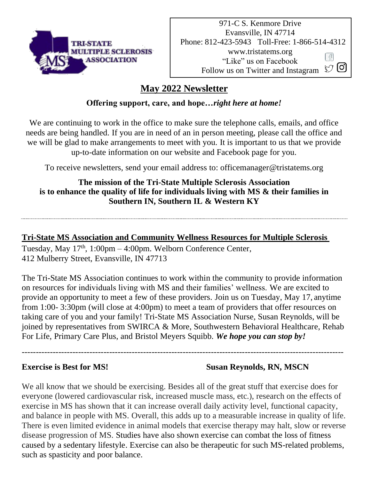

#### **May 2022 Newsletter**

#### **Offering support, care, and hope…***right here at home!*

We are continuing to work in the office to make sure the telephone calls, emails, and office needs are being handled. If you are in need of an in person meeting, please call the office and we will be glad to make arrangements to meet with you. It is important to us that we provide up-to-date information on our website and Facebook page for you.

To receive newsletters, send your email address to: officemanager@tristatems.org

#### **The mission of the Tri-State Multiple Sclerosis Association is to enhance the quality of life for individuals living with MS & their families in Southern IN, Southern IL & Western KY**

#### **Tri-State MS Association and Community Wellness Resources for Multiple Sclerosis**

Tuesday, May 17<sup>th</sup>, 1:00pm – 4:00pm. Welborn Conference Center, 412 Mulberry Street, Evansville, IN 47713

The Tri-State MS Association continues to work within the community to provide information on resources for individuals living with MS and their families' wellness. We are excited to provide an opportunity to meet a few of these providers. Join us on Tuesday, May 17, anytime from 1:00- 3:30pm (will close at 4:00pm) to meet a team of providers that offer resources on taking care of you and your family! Tri-State MS Association Nurse, Susan Reynolds, will be joined by representatives from SWIRCA & More, Southwestern Behavioral Healthcare, Rehab For Life, Primary Care Plus, and Bristol Meyers Squibb. *We hope you can stop by!*

------------------------------------------------------------------------------------------------------------------

#### **Exercise is Best for MS!** Susan Reynolds, RN, MSCN

We all know that we should be exercising. Besides all of the great stuff that exercise does for everyone (lowered cardiovascular risk, increased muscle mass, etc.), research on the effects of exercise in MS has shown that it can increase overall daily activity level, functional capacity, and balance in people with MS. Overall, this adds up to a measurable increase in quality of life. There is even limited evidence in animal models that exercise therapy may halt, slow or reverse disease progression of MS. Studies have also shown exercise can combat the loss of fitness caused by a sedentary lifestyle. Exercise can also be therapeutic for such MS-related problems, such as spasticity and poor balance.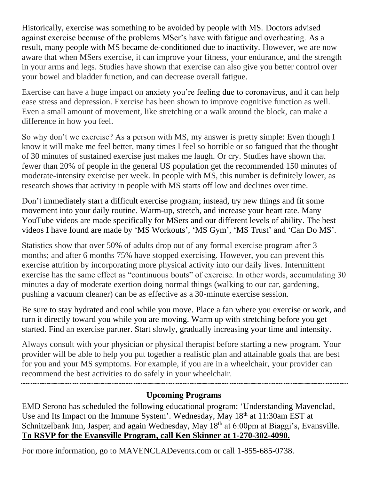Historically, exercise was something to be avoided by people with MS. Doctors advised against exercise because of the problems MSer's have with fatigue and overheating. As a result, many people with MS became de-conditioned due to inactivity. However, we are now aware that when MSers exercise, it can improve your fitness, your endurance, and the strength in your arms and legs. Studies have shown that exercise can also give you better control over your bowel and bladder function, and can decrease overall fatigue.

Exercise can have a huge impact on anxiety you're feeling due to coronavirus, and it can help ease stress and depression. Exercise has been shown to improve cognitive function as well. Even a small amount of movement, like stretching or a walk around the block, can make a difference in how you feel.

So why don't we exercise? As a person with MS, my answer is pretty simple: Even though I know it will make me feel better, many times I feel so horrible or so fatigued that the thought of 30 minutes of sustained exercise just makes me laugh. Or cry. Studies have shown that fewer than 20% of people in the general US population get the recommended 150 minutes of moderate-intensity exercise per week. In people with MS, this number is definitely lower, as research shows that activity in people with MS starts off low and declines over time.

Don't immediately start a difficult exercise program; instead, try new things and fit some movement into your daily routine. Warm-up, stretch, and increase your heart rate. Many YouTube videos are made specifically for MSers and our different levels of ability. The best videos I have found are made by 'MS Workouts', 'MS Gym', 'MS Trust' and 'Can Do MS'.

Statistics show that over 50% of adults drop out of any formal exercise program after 3 months; and after 6 months 75% have stopped exercising. However, you can prevent this exercise attrition by incorporating more physical activity into our daily lives. Intermittent exercise has the same effect as "continuous bouts" of exercise. In other words, accumulating 30 minutes a day of moderate exertion doing normal things (walking to our car, gardening, pushing a vacuum cleaner) can be as effective as a 30-minute exercise session.

Be sure to stay hydrated and cool while you move. Place a fan where you exercise or work, and turn it directly toward you while you are moving. Warm up with stretching before you get started. Find an exercise partner. Start slowly, gradually increasing your time and intensity.

Always consult with your physician or physical therapist before starting a new program. Your provider will be able to help you put together a realistic plan and attainable goals that are best for you and your MS symptoms. For example, if you are in a wheelchair, your provider can recommend the best activities to do safely in your wheelchair.

#### **Upcoming Programs**

EMD Serono has scheduled the following educational program: 'Understanding Mavenclad, Use and Its Impact on the Immune System'. Wednesday, May 18<sup>th</sup> at 11:30am EST at Schnitzelbank Inn, Jasper; and again Wednesday, May 18<sup>th</sup> at 6:00pm at Biaggi's, Evansville. **To RSVP for the Evansville Program, call Ken Skinner at 1-270-302-4090.**

For more information, go to MAVENCLADevents.com or call 1-855-685-0738.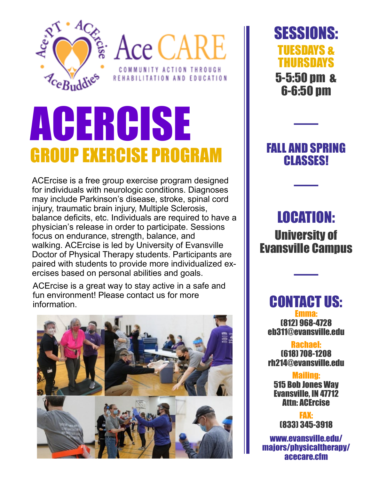

**SE ACE CARE** COMMUNITY ACTION THROUGH REHABILITATION AND EDUCATION

# ACERCISE GROUP EXERCISE PROGRAM

ACErcise is a free group exercise program designed for individuals with neurologic conditions. Diagnoses may include Parkinson's disease, stroke, spinal cord injury, traumatic brain injury, Multiple Sclerosis, balance deficits, etc. Individuals are required to have a physician's release in order to participate. Sessions focus on endurance, strength, balance, and walking. ACErcise is led by University of Evansville Doctor of Physical Therapy students. Participants are paired with students to provide more individualized exercises based on personal abilities and goals.

ACErcise is a great way to stay active in a safe and fun environment! Please contact us for more information.



SESSIONS: TUESDAYS & THURSDAYS 5-5:50 pm & 6-6:50 pm

### FALL AND SPRING **CLASSES!**

——

——

## LOCATION: University of Evansville Campus

——

CONTACT US: Emma: (812) 968-4728 eb311@evansville.edu

Rachael: (618) 708-1208 rh214@evansville.edu

Mailing: 515 Bob Jones Way Evansville, IN 47712 Attn: ACErcise

FAX: (833) 345-3918

www.evansville.edu/ majors/physicaltherapy/ acecare.cfm